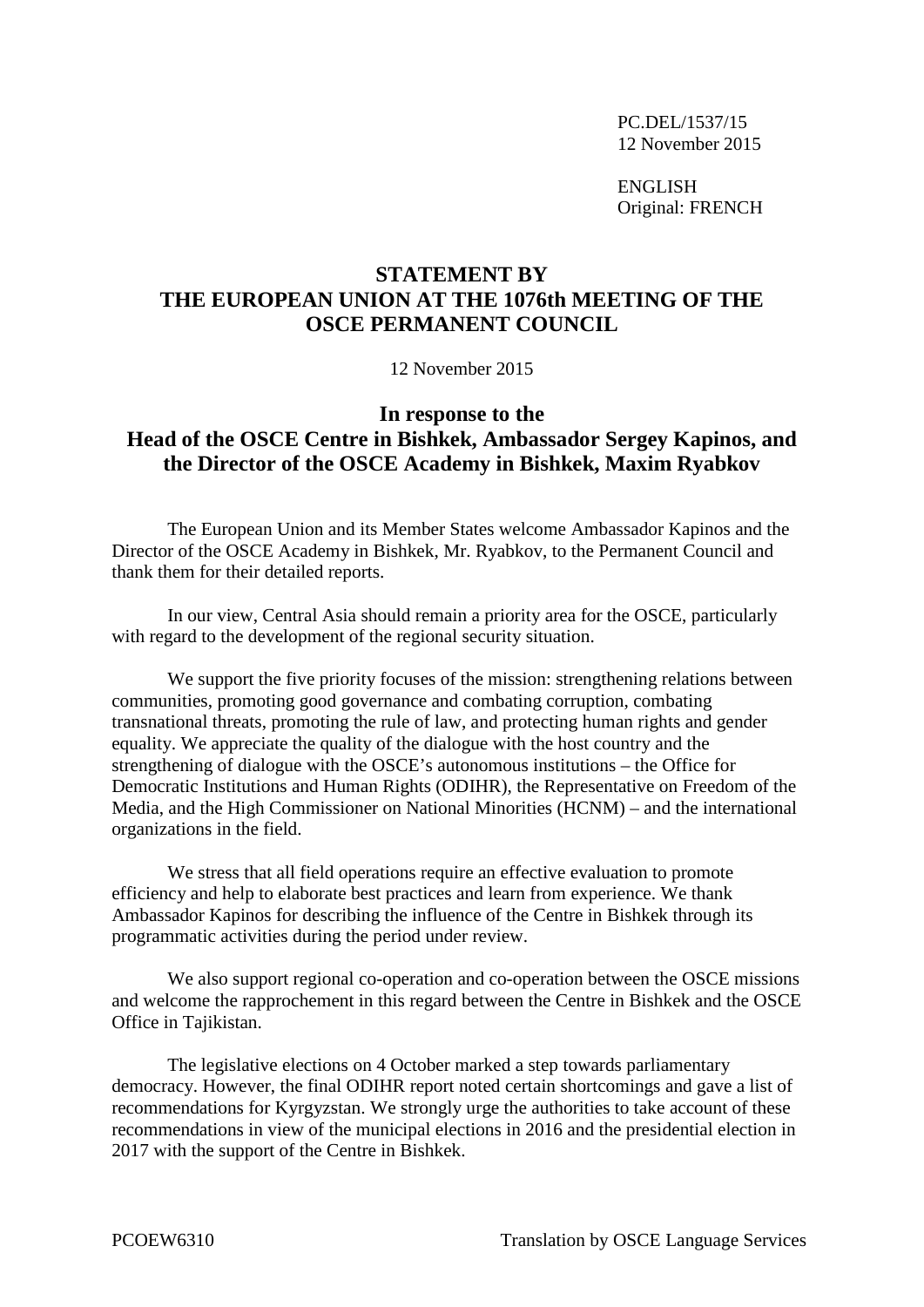PC.DEL/1537/15 12 November 2015

ENGLISH Original: FRENCH

## **STATEMENT BY THE EUROPEAN UNION AT THE 1076th MEETING OF THE OSCE PERMANENT COUNCIL**

12 November 2015

## **In response to the Head of the OSCE Centre in Bishkek, Ambassador Sergey Kapinos, and the Director of the OSCE Academy in Bishkek, Maxim Ryabkov**

The European Union and its Member States welcome Ambassador Kapinos and the Director of the OSCE Academy in Bishkek, Mr. Ryabkov, to the Permanent Council and thank them for their detailed reports.

In our view, Central Asia should remain a priority area for the OSCE, particularly with regard to the development of the regional security situation.

We support the five priority focuses of the mission: strengthening relations between communities, promoting good governance and combating corruption, combating transnational threats, promoting the rule of law, and protecting human rights and gender equality. We appreciate the quality of the dialogue with the host country and the strengthening of dialogue with the OSCE's autonomous institutions – the Office for Democratic Institutions and Human Rights (ODIHR), the Representative on Freedom of the Media, and the High Commissioner on National Minorities (HCNM) – and the international organizations in the field.

We stress that all field operations require an effective evaluation to promote efficiency and help to elaborate best practices and learn from experience. We thank Ambassador Kapinos for describing the influence of the Centre in Bishkek through its programmatic activities during the period under review.

We also support regional co-operation and co-operation between the OSCE missions and welcome the rapprochement in this regard between the Centre in Bishkek and the OSCE Office in Tajikistan.

The legislative elections on 4 October marked a step towards parliamentary democracy. However, the final ODIHR report noted certain shortcomings and gave a list of recommendations for Kyrgyzstan. We strongly urge the authorities to take account of these recommendations in view of the municipal elections in 2016 and the presidential election in 2017 with the support of the Centre in Bishkek.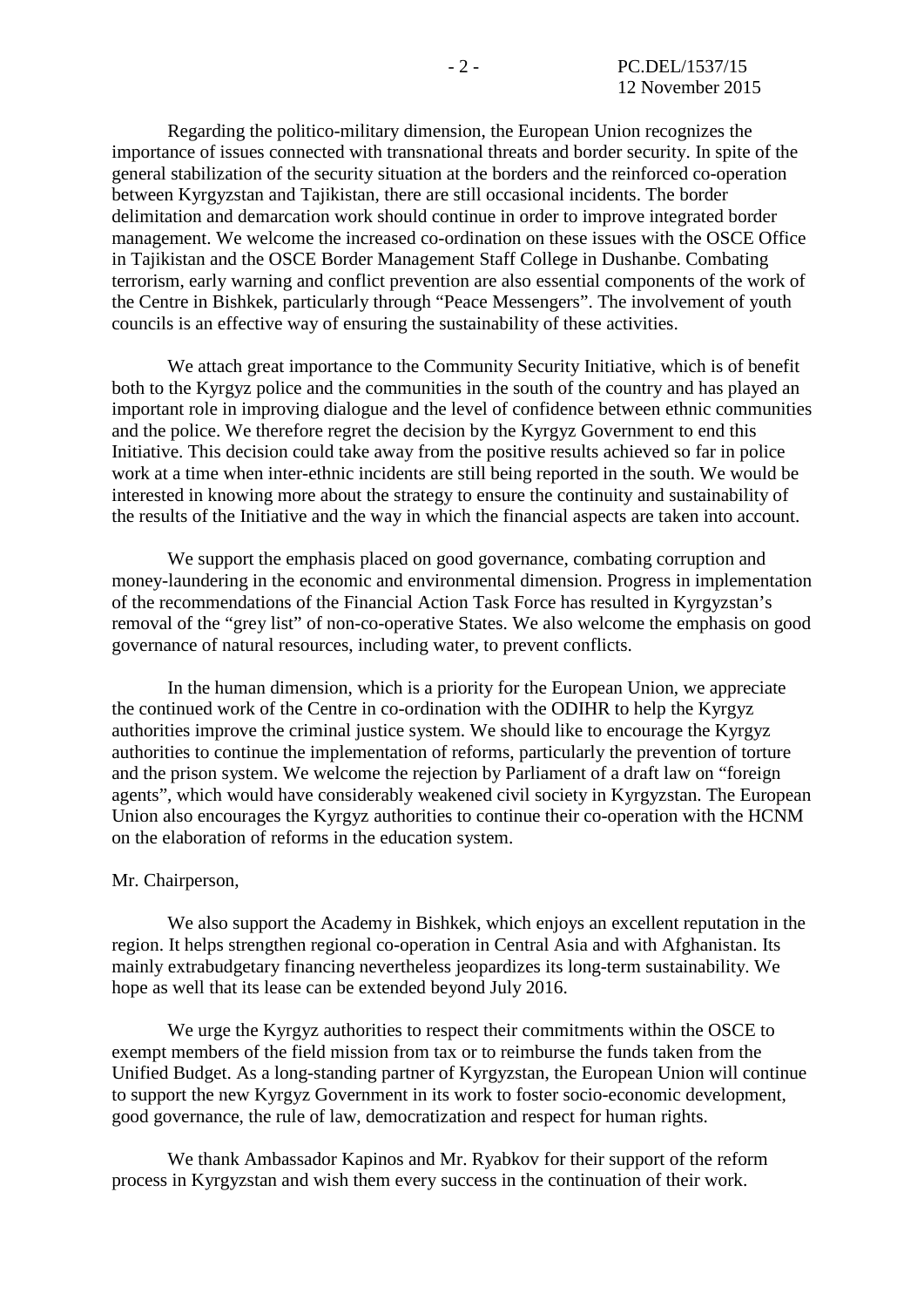Regarding the politico-military dimension, the European Union recognizes the importance of issues connected with transnational threats and border security. In spite of the general stabilization of the security situation at the borders and the reinforced co-operation between Kyrgyzstan and Tajikistan, there are still occasional incidents. The border delimitation and demarcation work should continue in order to improve integrated border management. We welcome the increased co-ordination on these issues with the OSCE Office in Tajikistan and the OSCE Border Management Staff College in Dushanbe. Combating terrorism, early warning and conflict prevention are also essential components of the work of the Centre in Bishkek, particularly through "Peace Messengers". The involvement of youth councils is an effective way of ensuring the sustainability of these activities.

We attach great importance to the Community Security Initiative, which is of benefit both to the Kyrgyz police and the communities in the south of the country and has played an important role in improving dialogue and the level of confidence between ethnic communities and the police. We therefore regret the decision by the Kyrgyz Government to end this Initiative. This decision could take away from the positive results achieved so far in police work at a time when inter-ethnic incidents are still being reported in the south. We would be interested in knowing more about the strategy to ensure the continuity and sustainability of the results of the Initiative and the way in which the financial aspects are taken into account.

We support the emphasis placed on good governance, combating corruption and money-laundering in the economic and environmental dimension. Progress in implementation of the recommendations of the Financial Action Task Force has resulted in Kyrgyzstan's removal of the "grey list" of non-co-operative States. We also welcome the emphasis on good governance of natural resources, including water, to prevent conflicts.

In the human dimension, which is a priority for the European Union, we appreciate the continued work of the Centre in co-ordination with the ODIHR to help the Kyrgyz authorities improve the criminal justice system. We should like to encourage the Kyrgyz authorities to continue the implementation of reforms, particularly the prevention of torture and the prison system. We welcome the rejection by Parliament of a draft law on "foreign agents", which would have considerably weakened civil society in Kyrgyzstan. The European Union also encourages the Kyrgyz authorities to continue their co-operation with the HCNM on the elaboration of reforms in the education system.

## Mr. Chairperson,

We also support the Academy in Bishkek, which enjoys an excellent reputation in the region. It helps strengthen regional co-operation in Central Asia and with Afghanistan. Its mainly extrabudgetary financing nevertheless jeopardizes its long-term sustainability. We hope as well that its lease can be extended beyond July 2016.

We urge the Kyrgyz authorities to respect their commitments within the OSCE to exempt members of the field mission from tax or to reimburse the funds taken from the Unified Budget. As a long-standing partner of Kyrgyzstan, the European Union will continue to support the new Kyrgyz Government in its work to foster socio-economic development, good governance, the rule of law, democratization and respect for human rights.

We thank Ambassador Kapinos and Mr. Ryabkov for their support of the reform process in Kyrgyzstan and wish them every success in the continuation of their work.